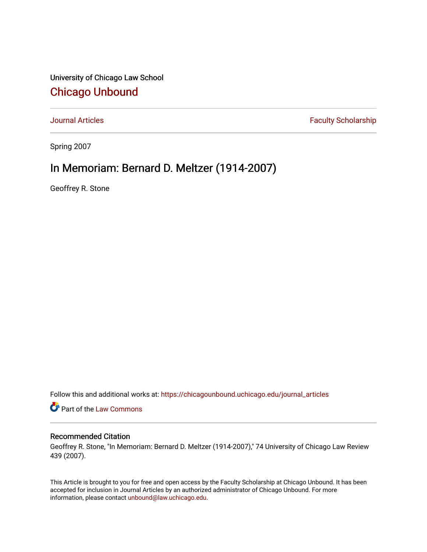University of Chicago Law School [Chicago Unbound](https://chicagounbound.uchicago.edu/)

[Journal Articles](https://chicagounbound.uchicago.edu/journal_articles) **Faculty Scholarship Faculty Scholarship** 

Spring 2007

## In Memoriam: Bernard D. Meltzer (1914-2007)

Geoffrey R. Stone

Follow this and additional works at: [https://chicagounbound.uchicago.edu/journal\\_articles](https://chicagounbound.uchicago.edu/journal_articles?utm_source=chicagounbound.uchicago.edu%2Fjournal_articles%2F291&utm_medium=PDF&utm_campaign=PDFCoverPages) 

Part of the [Law Commons](http://network.bepress.com/hgg/discipline/578?utm_source=chicagounbound.uchicago.edu%2Fjournal_articles%2F291&utm_medium=PDF&utm_campaign=PDFCoverPages)

## Recommended Citation

Geoffrey R. Stone, "In Memoriam: Bernard D. Meltzer (1914-2007)," 74 University of Chicago Law Review 439 (2007).

This Article is brought to you for free and open access by the Faculty Scholarship at Chicago Unbound. It has been accepted for inclusion in Journal Articles by an authorized administrator of Chicago Unbound. For more information, please contact [unbound@law.uchicago.edu](mailto:unbound@law.uchicago.edu).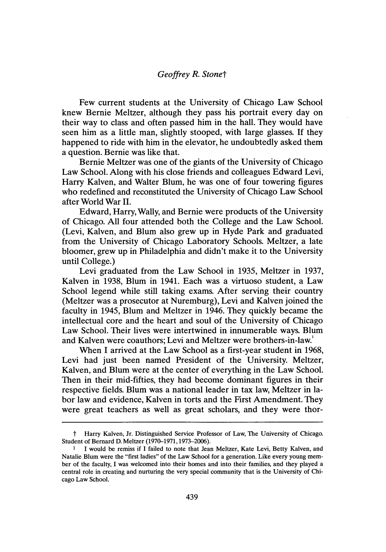## *Geoffrey R. Stonet*

Few current students at the University of Chicago Law School knew Bernie Meltzer, although they pass his portrait every day on their way to class and often passed him in the hall. They would have seen him as a little man, slightly stooped, with large glasses. If they happened to ride with him in the elevator, he undoubtedly asked them a question. Bernie was like that.

Bernie Meltzer was one of the giants of the University of Chicago Law School. Along with his close friends and colleagues Edward Levi, Harry Kalven, and Walter Blum, he was one of four towering figures who redefined and reconstituted the University of Chicago Law School after World War II.

Edward, Harry, Wally, and Bernie were products of the University of Chicago. All four attended both the College and the Law School. (Levi, Kalven, and Blum also grew up in Hyde Park and graduated from the University of Chicago Laboratory Schools. Meltzer, a late bloomer, grew up in Philadelphia and didn't make it to the University until College.)

Levi graduated from the Law School in 1935, Meltzer in 1937, Kalven in 1938, Blum in 1941. Each was a virtuoso student, a Law School legend while still taking exams. After serving their country (Meltzer was a prosecutor at Nuremburg), Levi and Kalven joined the faculty in 1945, Blum and Meltzer in 1946. They quickly became the intellectual core and the heart and soul of the University of Chicago Law School. Their lives were intertwined in innumerable ways. Blum and Kalven were coauthors; Levi and Meltzer were brothers-in-law.'

When I arrived at the Law School as a first-year student in 1968, Levi had just been named President of the University. Meltzer, Kalven, and Blum were at the center of everything in the Law School. Then in their mid-fifties, they had become dominant figures in their respective fields. Blum was a national leader in tax law, Meltzer in labor law and evidence, Kalven in torts and the First Amendment. They were great teachers as well as great scholars, and they were thor-

t Harry Kalven, Jr. Distinguished Service Professor of Law, The University of Chicago. Student of Bernard D. Meltzer (1970-1971,1973-2006).

**<sup>1</sup>** I would be remiss if I failed to note that Jean Meltzer, Kate Levi, Betty Kalven, and Natalie Blum were the "first ladies" of the Law School for a generation. Like every young member of the faculty, I was welcomed into their homes and into their families, and they played a central role in creating and nurturing the very special community that is the University of Chicago Law School.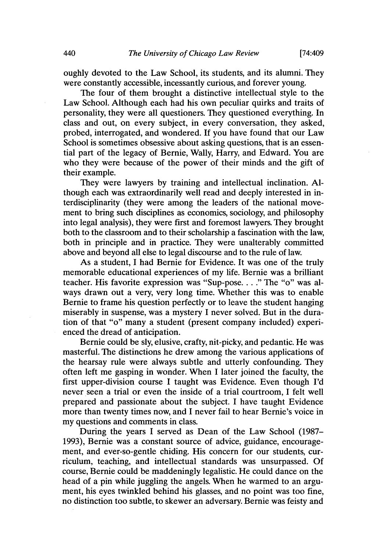oughly devoted to the Law School, its students, and its alumni. They were constantly accessible, incessantly curious, and forever young.

The four of them brought a distinctive intellectual style to the Law School. Although each had his own peculiar quirks and traits of personality, they were all questioners. They questioned everything. In class and out, on every subject, in every conversation, they asked, probed, interrogated, and wondered. If you have found that our Law School is sometimes obsessive about asking questions, that is an essential part of the legacy of Bernie, Wally, Harry, and Edward. You are who they were because of the power of their minds and the gift of their example.

They were lawyers by training and intellectual inclination. Although each was extraordinarily well read and deeply interested in interdisciplinarity (they were among the leaders of the national movement to bring such disciplines as economics, sociology, and philosophy into legal analysis), they were first and foremost lawyers. They brought both to the classroom and to their scholarship a fascination with the law, both in principle and in practice. They were unalterably committed above and beyond all else to legal discourse and to the rule of law.

As a student, I had Bernie for Evidence. It was one of the truly memorable educational experiences of my life. Bernie was a brilliant teacher. His favorite expression was "Sup-pose... **."** The "o" was always drawn out a very, very long time. Whether this was to enable Bernie to frame his question perfectly or to leave the student hanging miserably in suspense, was a mystery I never solved. But in the duration of that "o" many a student (present company included) experienced the dread of anticipation.

Bernie could be sly, elusive, crafty, nit-picky, and pedantic. He was masterful. The distinctions he drew among the various applications of the hearsay rule were always subtle and utterly confounding. They often left me gasping in wonder. When I later joined the faculty, the first upper-division course I taught was Evidence. Even though I'd never seen a trial or even the inside of a trial courtroom, I felt well prepared and passionate about the subject. I have taught Evidence more than twenty times now, and I never fail to hear Bernie's voice in my questions and comments in class.

During the years I served as Dean of the Law School (1987- 1993), Bernie was a constant source of advice, guidance, encouragement, and ever-so-gentle chiding. His concern for our students, curriculum, teaching, and intellectual standards was unsurpassed. Of course, Bernie could be maddeningly legalistic. He could dance on the head of a pin while juggling the angels. When he warmed to an argument, his eyes twinkled behind his glasses, and no point was too fine, no distinction too subtle, to skewer an adversary. Bernie was feisty and